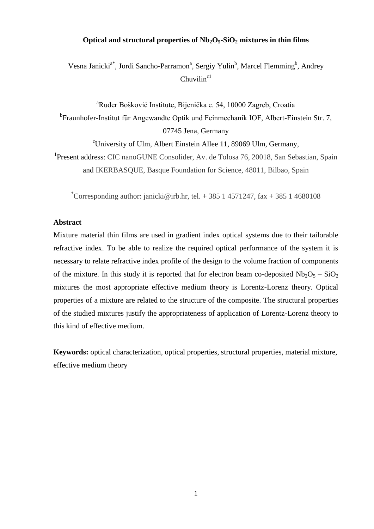# **Optical and structural properties of Nb2O5-SiO<sup>2</sup> mixtures in thin films**

Vesna Janicki<sup>a\*</sup>, Jordi Sancho-Parramon<sup>a</sup>, Sergiy Yulin<sup>b</sup>, Marcel Flemming<sup>b</sup>, Andrey  $Chuvilin<sup>c1</sup>$ 

<sup>a</sup>Ruđer Bošković Institute, Bijenička c. 54, 10000 Zagreb, Croatia <sup>b</sup>Fraunhofer-Institut für Angewandte Optik und Feinmechanik IOF, Albert-Einstein Str. 7, 07745 Jena, Germany

<sup>c</sup>University of Ulm, Albert Einstein Allee 11, 89069 Ulm, Germany,

<sup>1</sup>Present address: CIC nanoGUNE Consolider, Av. de Tolosa 76, 20018, San Sebastian, Spain and IKERBASQUE, Basque Foundation for Science, 48011, Bilbao, Spain

\*Corresponding author: janicki@irb.hr, tel. + 385 1 4571247, fax + 385 1 4680108

## **Abstract**

Mixture material thin films are used in gradient index optical systems due to their tailorable refractive index. To be able to realize the required optical performance of the system it is necessary to relate refractive index profile of the design to the volume fraction of components of the mixture. In this study it is reported that for electron beam co-deposited  $Nb_2O_5 - SiO_2$ mixtures the most appropriate effective medium theory is Lorentz-Lorenz theory. Optical properties of a mixture are related to the structure of the composite. The structural properties of the studied mixtures justify the appropriateness of application of Lorentz-Lorenz theory to this kind of effective medium.

**Keywords:** optical characterization, optical properties, structural properties, material mixture, effective medium theory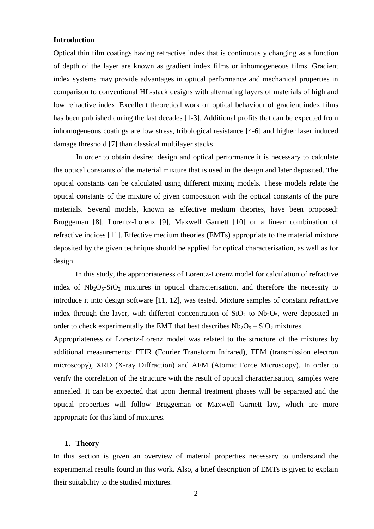# **Introduction**

Optical thin film coatings having refractive index that is continuously changing as a function of depth of the layer are known as gradient index films or inhomogeneous films. Gradient index systems may provide advantages in optical performance and mechanical properties in comparison to conventional HL-stack designs with alternating layers of materials of high and low refractive index. Excellent theoretical work on optical behaviour of gradient index films has been published during the last decades [1-3]. Additional profits that can be expected from inhomogeneous coatings are low stress, tribological resistance [4-6] and higher laser induced damage threshold [7] than classical multilayer stacks.

In order to obtain desired design and optical performance it is necessary to calculate the optical constants of the material mixture that is used in the design and later deposited. The optical constants can be calculated using different mixing models. These models relate the optical constants of the mixture of given composition with the optical constants of the pure materials. Several models, known as effective medium theories, have been proposed: Bruggeman [8], Lorentz-Lorenz [9], Maxwell Garnett [10] or a linear combination of refractive indices [11]. Effective medium theories (EMTs) appropriate to the material mixture deposited by the given technique should be applied for optical characterisation, as well as for design.

In this study, the appropriateness of Lorentz-Lorenz model for calculation of refractive index of  $Nb_2O_5-SiO_2$  mixtures in optical characterisation, and therefore the necessity to introduce it into design software [11, 12], was tested. Mixture samples of constant refractive index through the layer, with different concentration of  $SiO<sub>2</sub>$  to  $Nb<sub>2</sub>O<sub>5</sub>$ , were deposited in order to check experimentally the EMT that best describes  $Nb<sub>2</sub>O<sub>5</sub> - SiO<sub>2</sub> mixtures.$ 

Appropriateness of Lorentz-Lorenz model was related to the structure of the mixtures by additional measurements: FTIR (Fourier Transform Infrared), TEM (transmission electron microscopy), XRD (X-ray Diffraction) and AFM (Atomic Force Microscopy). In order to verify the correlation of the structure with the result of optical characterisation, samples were annealed. It can be expected that upon thermal treatment phases will be separated and the optical properties will follow Bruggeman or Maxwell Garnett law, which are more appropriate for this kind of mixtures.

# **1. Theory**

In this section is given an overview of material properties necessary to understand the experimental results found in this work. Also, a brief description of EMTs is given to explain their suitability to the studied mixtures.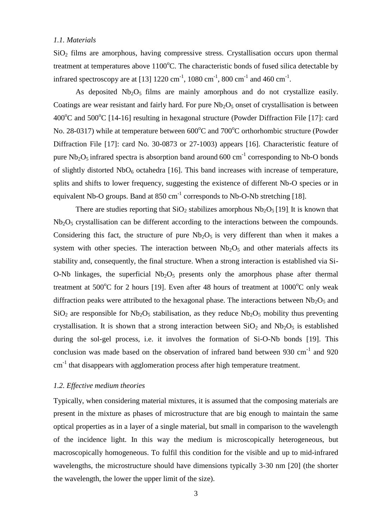## *1.1. Materials*

 $SiO<sub>2</sub>$  films are amorphous, having compressive stress. Crystallisation occurs upon thermal treatment at temperatures above  $1100^{\circ}$ C. The characteristic bonds of fused silica detectable by infrared spectroscopy are at [13] 1220 cm<sup>-1</sup>, 1080 cm<sup>-1</sup>, 800 cm<sup>-1</sup> and 460 cm<sup>-1</sup>.

As deposited  $Nb<sub>2</sub>O<sub>5</sub>$  films are mainly amorphous and do not crystallize easily. Coatings are wear resistant and fairly hard. For pure  $Nb<sub>2</sub>O<sub>5</sub>$  onset of crystallisation is between  $400^{\circ}$ C and  $500^{\circ}$ C [14-16] resulting in hexagonal structure (Powder Diffraction File [17]: card No. 28-0317) while at temperature between  $600^{\circ}$ C and  $700^{\circ}$ C orthorhombic structure (Powder Diffraction File [17]: card No. 30-0873 or 27-1003) appears [16]. Characteristic feature of pure  $Nb_2O_5$  infrared spectra is absorption band around 600 cm<sup>-1</sup> corresponding to Nb-O bonds of slightly distorted  $NbO_6$  octahedra [16]. This band increases with increase of temperature, splits and shifts to lower frequency, suggesting the existence of different Nb-O species or in equivalent Nb-O groups. Band at  $850 \text{ cm}^{-1}$  corresponds to Nb-O-Nb stretching [18].

There are studies reporting that  $SiO<sub>2</sub>$  stabilizes amorphous  $Nb<sub>2</sub>O<sub>5</sub>$  [19]. It is known that  $Nb<sub>2</sub>O<sub>5</sub>$  crystallisation can be different according to the interactions between the compounds. Considering this fact, the structure of pure  $Nb<sub>2</sub>O<sub>5</sub>$  is very different than when it makes a system with other species. The interaction between  $Nb<sub>2</sub>O<sub>5</sub>$  and other materials affects its stability and, consequently, the final structure. When a strong interaction is established via Si-O-Nb linkages, the superficial  $Nb_2O_5$  presents only the amorphous phase after thermal treatment at  $500^{\circ}$ C for 2 hours [19]. Even after 48 hours of treatment at  $1000^{\circ}$ C only weak diffraction peaks were attributed to the hexagonal phase. The interactions between  $Nb_2O_5$  and SiO<sub>2</sub> are responsible for Nb<sub>2</sub>O<sub>5</sub> stabilisation, as they reduce Nb<sub>2</sub>O<sub>5</sub> mobility thus preventing crystallisation. It is shown that a strong interaction between  $SiO<sub>2</sub>$  and  $Nb<sub>2</sub>O<sub>5</sub>$  is established during the sol-gel process, i.e. it involves the formation of Si-O-Nb bonds [19]. This conclusion was made based on the observation of infrared band between  $930 \text{ cm}^{-1}$  and  $920$  $cm<sup>-1</sup>$  that disappears with agglomeration process after high temperature treatment.

### *1.2. Effective medium theories*

Typically, when considering material mixtures, it is assumed that the composing materials are present in the mixture as phases of microstructure that are big enough to maintain the same optical properties as in a layer of a single material, but small in comparison to the wavelength of the incidence light. In this way the medium is microscopically heterogeneous, but macroscopically homogeneous. To fulfil this condition for the visible and up to mid-infrared wavelengths, the microstructure should have dimensions typically 3-30 nm [20] (the shorter the wavelength, the lower the upper limit of the size).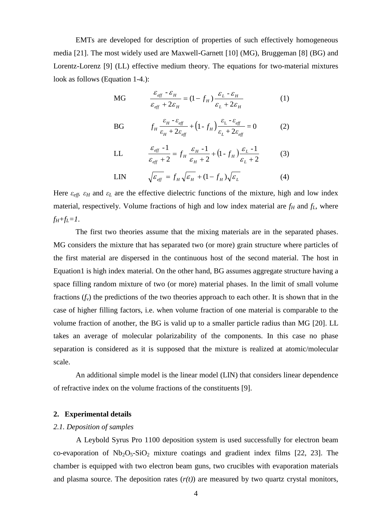EMTs are developed for description of properties of such effectively homogeneous media [21]. The most widely used are Maxwell-Garnett [10] (MG), Bruggeman [8] (BG) and Lorentz-Lorenz [9] (LL) effective medium theory. The equations for two-material mixtures look as follows (Equation 1-4.):

$$
\text{MG} \qquad \frac{\varepsilon_{\text{eff}} - \varepsilon_H}{\varepsilon_{\text{eff}} + 2\varepsilon_H} = (1 - f_H) \frac{\varepsilon_L - \varepsilon_H}{\varepsilon_L + 2\varepsilon_H} \tag{1}
$$

BG 
$$
f_H \frac{\varepsilon_H - \varepsilon_{eff}}{\varepsilon_H + 2\varepsilon_{eff}} + (1 - f_H) \frac{\varepsilon_L - \varepsilon_{eff}}{\varepsilon_L + 2\varepsilon_{eff}} = 0
$$
 (2)

LL 
$$
\frac{\varepsilon_{\text{eff}} - 1}{\varepsilon_{\text{eff}} + 2} = f_H \frac{\varepsilon_H - 1}{\varepsilon_H + 2} + (1 - f_H) \frac{\varepsilon_L - 1}{\varepsilon_L + 2}
$$
(3)

$$
\text{LIN} \qquad \sqrt{\varepsilon_{\text{eff}}} = f_H \sqrt{\varepsilon_H} + (1 - f_H) \sqrt{\varepsilon_L} \tag{4}
$$

Here  $\varepsilon_{eff}$ ,  $\varepsilon_H$  and  $\varepsilon_L$  are the effective dielectric functions of the mixture, high and low index material, respectively. Volume fractions of high and low index material are  $f_H$  and  $f_L$ , where  $f_H + f_L = I$ .

The first two theories assume that the mixing materials are in the separated phases. MG considers the mixture that has separated two (or more) grain structure where particles of the first material are dispersed in the continuous host of the second material. The host in Equation1 is high index material. On the other hand, BG assumes aggregate structure having a space filling random mixture of two (or more) material phases. In the limit of small volume fractions  $(f_v)$  the predictions of the two theories approach to each other. It is shown that in the case of higher filling factors, i.e. when volume fraction of one material is comparable to the volume fraction of another, the BG is valid up to a smaller particle radius than MG [20]. LL takes an average of molecular polarizability of the components. In this case no phase separation is considered as it is supposed that the mixture is realized at atomic/molecular scale.

An additional simple model is the linear model (LIN) that considers linear dependence of refractive index on the volume fractions of the constituents [9].

## **2. Experimental details**

## *2.1. Deposition of samples*

A Leybold Syrus Pro 1100 deposition system is used successfully for electron beam co-evaporation of  $Nb_2O_5-SiO_2$  mixture coatings and gradient index films [22, 23]. The chamber is equipped with two electron beam guns, two crucibles with evaporation materials and plasma source. The deposition rates  $(r(t))$  are measured by two quartz crystal monitors,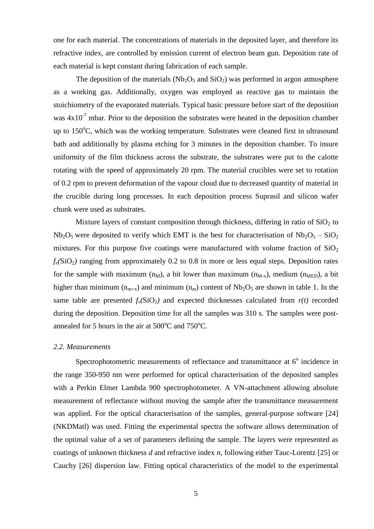one for each material. The concentrations of materials in the deposited layer, and therefore its refractive index, are controlled by emission current of electron beam gun. Deposition rate of each material is kept constant during fabrication of each sample.

The deposition of the materials  $(Nb<sub>2</sub>O<sub>5</sub>$  and  $SiO<sub>2</sub>)$  was performed in argon atmosphere as a working gas. Additionally, oxygen was employed as reactive gas to maintain the stoichiometry of the evaporated materials. Typical basic pressure before start of the deposition was  $4x10^{-7}$  mbar. Prior to the deposition the substrates were heated in the deposition chamber up to  $150^{\circ}$ C, which was the working temperature. Substrates were cleaned first in ultrasound bath and additionally by plasma etching for 3 minutes in the deposition chamber. To insure uniformity of the film thickness across the substrate, the substrates were put to the calotte rotating with the speed of approximately 20 rpm. The material crucibles were set to rotation of 0.2 rpm to prevent deformation of the vapour cloud due to decreased quantity of material in the crucible during long processes. In each deposition process Suprasil and silicon wafer chunk were used as substrates.

Mixture layers of constant composition through thickness, differing in ratio of  $SiO<sub>2</sub>$  to  $Nb<sub>2</sub>O<sub>5</sub>$  were deposited to verify which EMT is the best for characterisation of  $Nb<sub>2</sub>O<sub>5</sub> - SiO<sub>2</sub>$ mixtures. For this purpose five coatings were manufactured with volume fraction of  $SiO<sub>2</sub>$  $f_\nu(SiO_2)$  ranging from approximately 0.2 to 0.8 in more or less equal steps. Deposition rates for the sample with maximum  $(n_M)$ , a bit lower than maximum  $(n_{M-x})$ , medium  $(n_{MFD})$ , a bit higher than minimum ( $n_{m+x}$ ) and minimum ( $n_m$ ) content of Nb<sub>2</sub>O<sub>5</sub> are shown in table 1. In the same table are presented  $f_v(SiO_2)$  and expected thicknesses calculated from  $r(t)$  recorded during the deposition. Deposition time for all the samples was 310 s. The samples were postannealed for 5 hours in the air at  $500^{\circ}$ C and  $750^{\circ}$ C.

#### *2.2. Measurements*

Spectrophotometric measurements of reflectance and transmittance at  $6^{\circ}$  incidence in the range 350-950 nm were performed for optical characterisation of the deposited samples with a Perkin Elmer Lambda 900 spectrophotometer. A VN-attachment allowing absolute measurement of reflectance without moving the sample after the transmittance measurement was applied. For the optical characterisation of the samples, general-purpose software [24] (NKDMatl) was used. Fitting the experimental spectra the software allows determination of the optimal value of a set of parameters defining the sample. The layers were represented as coatings of unknown thickness *d* and refractive index *n*, following either Tauc-Lorentz [25] or Cauchy [26] dispersion law. Fitting optical characteristics of the model to the experimental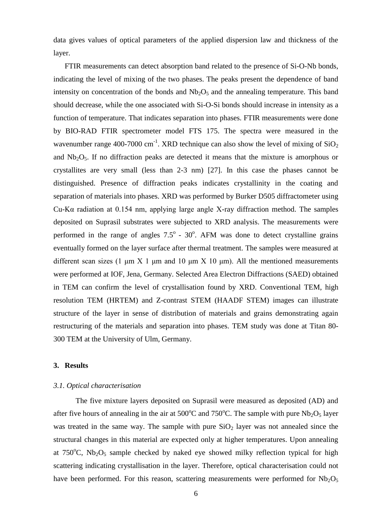data gives values of optical parameters of the applied dispersion law and thickness of the layer.

FTIR measurements can detect absorption band related to the presence of Si-O-Nb bonds, indicating the level of mixing of the two phases. The peaks present the dependence of band intensity on concentration of the bonds and  $Nb<sub>2</sub>O<sub>5</sub>$  and the annealing temperature. This band should decrease, while the one associated with Si-O-Si bonds should increase in intensity as a function of temperature. That indicates separation into phases. FTIR measurements were done by BIO-RAD FTIR spectrometer model FTS 175. The spectra were measured in the wavenumber range 400-7000 cm<sup>-1</sup>. XRD technique can also show the level of mixing of  $SiO<sub>2</sub>$ and  $Nb<sub>2</sub>O<sub>5</sub>$ . If no diffraction peaks are detected it means that the mixture is amorphous or crystallites are very small (less than 2-3 nm) [27]. In this case the phases cannot be distinguished. Presence of diffraction peaks indicates crystallinity in the coating and separation of materials into phases. XRD was performed by Burker D505 diffractometer using Cu-Kα radiation at 0.154 nm, applying large angle X-ray diffraction method. The samples deposited on Suprasil substrates were subjected to XRD analysis. The measurements were performed in the range of angles  $7.5^{\circ}$  -  $30^{\circ}$ . AFM was done to detect crystalline grains eventually formed on the layer surface after thermal treatment. The samples were measured at different scan sizes (1 μm X 1 μm and 10 μm X 10 μm). All the mentioned measurements were performed at IOF, Jena, Germany. Selected Area Electron Diffractions (SAED) obtained in TEM can confirm the level of crystallisation found by XRD. Conventional TEM, high resolution TEM (HRTEM) and Z-contrast STEM (HAADF STEM) images can illustrate structure of the layer in sense of distribution of materials and grains demonstrating again restructuring of the materials and separation into phases. TEM study was done at Titan 80- 300 TEM at the University of Ulm, Germany.

### **3. Results**

#### *3.1. Optical characterisation*

 The five mixture layers deposited on Suprasil were measured as deposited (AD) and after five hours of annealing in the air at  $500^{\circ}$ C and  $750^{\circ}$ C. The sample with pure Nb<sub>2</sub>O<sub>5</sub> layer was treated in the same way. The sample with pure  $SiO<sub>2</sub>$  layer was not annealed since the structural changes in this material are expected only at higher temperatures. Upon annealing at  $750^{\circ}$ C, Nb<sub>2</sub>O<sub>5</sub> sample checked by naked eye showed milky reflection typical for high scattering indicating crystallisation in the layer. Therefore, optical characterisation could not have been performed. For this reason, scattering measurements were performed for  $Nb<sub>2</sub>O<sub>5</sub>$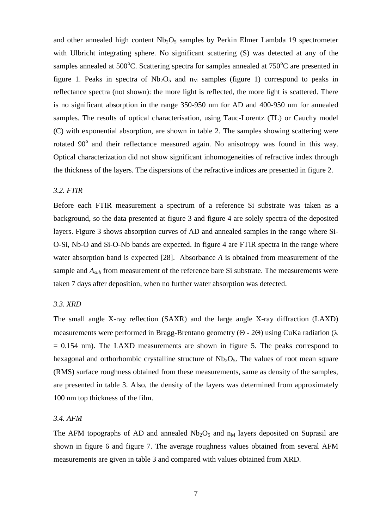and other annealed high content  $Nb_2O_5$  samples by Perkin Elmer Lambda 19 spectrometer with Ulbricht integrating sphere. No significant scattering (S) was detected at any of the samples annealed at  $500^{\circ}$ C. Scattering spectra for samples annealed at  $750^{\circ}$ C are presented in figure 1. Peaks in spectra of  $Nb<sub>2</sub>O<sub>5</sub>$  and  $n<sub>M</sub>$  samples (figure 1) correspond to peaks in reflectance spectra (not shown): the more light is reflected, the more light is scattered. There is no significant absorption in the range 350-950 nm for AD and 400-950 nm for annealed samples. The results of optical characterisation, using Tauc-Lorentz (TL) or Cauchy model (C) with exponential absorption, are shown in table 2. The samples showing scattering were rotated 90° and their reflectance measured again. No anisotropy was found in this way. Optical characterization did not show significant inhomogeneities of refractive index through the thickness of the layers. The dispersions of the refractive indices are presented in figure 2.

# *3.2. FTIR*

Before each FTIR measurement a spectrum of a reference Si substrate was taken as a background, so the data presented at figure 3 and figure 4 are solely spectra of the deposited layers. Figure 3 shows absorption curves of AD and annealed samples in the range where Si-O-Si, Nb-O and Si-O-Nb bands are expected. In figure 4 are FTIR spectra in the range where water absorption band is expected [28]. Absorbance *A* is obtained from measurement of the sample and *Asub* from measurement of the reference bare Si substrate. The measurements were taken 7 days after deposition, when no further water absorption was detected.

#### *3.3. XRD*

The small angle X-ray reflection (SAXR) and the large angle X-ray diffraction (LAXD) measurements were performed in Bragg-Brentano geometry ( $\Theta$  - 2 $\Theta$ ) using CuKa radiation ( $\lambda$ )  $= 0.154$  nm). The LAXD measurements are shown in figure 5. The peaks correspond to hexagonal and orthorhombic crystalline structure of  $Nb<sub>2</sub>O<sub>5</sub>$ . The values of root mean square (RMS) surface roughness obtained from these measurements, same as density of the samples, are presented in table 3. Also, the density of the layers was determined from approximately 100 nm top thickness of the film.

## *3.4. AFM*

The AFM topographs of AD and annealed  $Nb<sub>2</sub>O<sub>5</sub>$  and  $n<sub>M</sub>$  layers deposited on Suprasil are shown in figure 6 and figure 7. The average roughness values obtained from several AFM measurements are given in table 3 and compared with values obtained from XRD.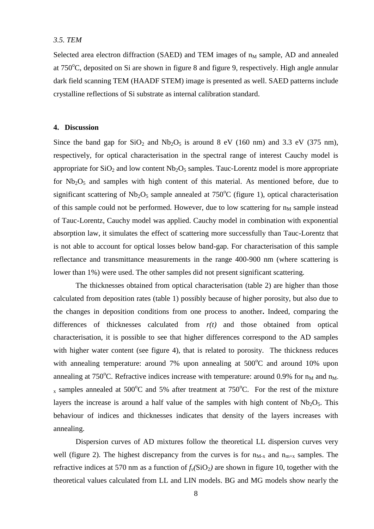## *3.5. TEM*

Selected area electron diffraction (SAED) and TEM images of  $n<sub>M</sub>$  sample, AD and annealed at  $750^{\circ}$ C, deposited on Si are shown in figure 8 and figure 9, respectively. High angle annular dark field scanning TEM (HAADF STEM) image is presented as well. SAED patterns include crystalline reflections of Si substrate as internal calibration standard.

# **4. Discussion**

Since the band gap for  $SiO_2$  and  $Nb_2O_5$  is around 8 eV (160 nm) and 3.3 eV (375 nm), respectively, for optical characterisation in the spectral range of interest Cauchy model is appropriate for  $SiO<sub>2</sub>$  and low content Nb<sub>2</sub>O<sub>5</sub> samples. Tauc-Lorentz model is more appropriate for  $Nb<sub>2</sub>O<sub>5</sub>$  and samples with high content of this material. As mentioned before, due to significant scattering of  $Nb<sub>2</sub>O<sub>5</sub>$  sample annealed at 750<sup>o</sup>C (figure 1), optical characterisation of this sample could not be performed. However, due to low scattering for  $n_M$  sample instead of Tauc-Lorentz, Cauchy model was applied. Cauchy model in combination with exponential absorption law, it simulates the effect of scattering more successfully than Tauc-Lorentz that is not able to account for optical losses below band-gap. For characterisation of this sample reflectance and transmittance measurements in the range 400-900 nm (where scattering is lower than 1%) were used. The other samples did not present significant scattering.

The thicknesses obtained from optical characterisation (table 2) are higher than those calculated from deposition rates (table 1) possibly because of higher porosity, but also due to the changes in deposition conditions from one process to another**.** Indeed, comparing the differences of thicknesses calculated from *r(t)* and those obtained from optical characterisation, it is possible to see that higher differences correspond to the AD samples with higher water content (see figure 4), that is related to porosity. The thickness reduces with annealing temperature: around 7% upon annealing at  $500^{\circ}$ C and around 10% upon annealing at 750°C. Refractive indices increase with temperature: around 0.9% for  $n_M$  and  $n_M$ .  $_{x}$  samples annealed at 500°C and 5% after treatment at 750°C. For the rest of the mixture layers the increase is around a half value of the samples with high content of  $Nb<sub>2</sub>O<sub>5</sub>$ . This behaviour of indices and thicknesses indicates that density of the layers increases with annealing.

Dispersion curves of AD mixtures follow the theoretical LL dispersion curves very well (figure 2). The highest discrepancy from the curves is for  $n_{M-x}$  and  $n_{m+x}$  samples. The refractive indices at 570 nm as a function of  $f_v(SiO_2)$  are shown in figure 10, together with the theoretical values calculated from LL and LIN models. BG and MG models show nearly the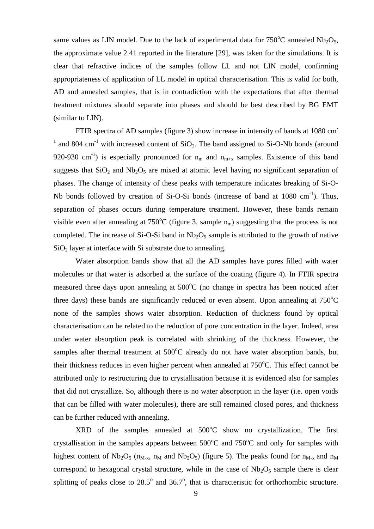same values as LIN model. Due to the lack of experimental data for  $750^{\circ}$ C annealed Nb<sub>2</sub>O<sub>5</sub>, the approximate value 2.41 reported in the literature [29], was taken for the simulations. It is clear that refractive indices of the samples follow LL and not LIN model, confirming appropriateness of application of LL model in optical characterisation. This is valid for both, AD and annealed samples, that is in contradiction with the expectations that after thermal treatment mixtures should separate into phases and should be best described by BG EMT (similar to LIN).

FTIR spectra of AD samples (figure 3) show increase in intensity of bands at 1080 cm- $1$  and 804 cm<sup>-1</sup> with increased content of SiO<sub>2</sub>. The band assigned to Si-O-Nb bonds (around 920-930 cm<sup>-1</sup>) is especially pronounced for  $n_m$  and  $n_{m+x}$  samples. Existence of this band suggests that  $SiO<sub>2</sub>$  and  $Nb<sub>2</sub>O<sub>5</sub>$  are mixed at atomic level having no significant separation of phases. The change of intensity of these peaks with temperature indicates breaking of Si-O-Nb bonds followed by creation of Si-O-Si bonds (increase of band at  $1080 \text{ cm}^{-1}$ ). Thus, separation of phases occurs during temperature treatment. However, these bands remain visible even after annealing at  $750^{\circ}$ C (figure 3, sample  $n_m$ ) suggesting that the process is not completed. The increase of Si-O-Si band in  $Nb<sub>2</sub>O<sub>5</sub>$  sample is attributed to the growth of native  $SiO<sub>2</sub>$  layer at interface with Si substrate due to annealing.

Water absorption bands show that all the AD samples have pores filled with water molecules or that water is adsorbed at the surface of the coating (figure 4). In FTIR spectra measured three days upon annealing at  $500^{\circ}$ C (no change in spectra has been noticed after three days) these bands are significantly reduced or even absent. Upon annealing at  $750^{\circ}$ C none of the samples shows water absorption. Reduction of thickness found by optical characterisation can be related to the reduction of pore concentration in the layer. Indeed, area under water absorption peak is correlated with shrinking of the thickness. However, the samples after thermal treatment at  $500^{\circ}$ C already do not have water absorption bands, but their thickness reduces in even higher percent when annealed at  $750^{\circ}$ C. This effect cannot be attributed only to restructuring due to crystallisation because it is evidenced also for samples that did not crystallize. So, although there is no water absorption in the layer (i.e. open voids that can be filled with water molecules), there are still remained closed pores, and thickness can be further reduced with annealing.

 $XRD$  of the samples annealed at  $500^{\circ}C$  show no crystallization. The first crystallisation in the samples appears between  $500^{\circ}$ C and  $750^{\circ}$ C and only for samples with highest content of Nb<sub>2</sub>O<sub>5</sub> ( $n_{M-x}$ ,  $n_M$  and Nb<sub>2</sub>O<sub>5</sub>) (figure 5). The peaks found for  $n_{M-x}$  and  $n_M$ correspond to hexagonal crystal structure, while in the case of  $Nb<sub>2</sub>O<sub>5</sub>$  sample there is clear splitting of peaks close to  $28.5^{\circ}$  and  $36.7^{\circ}$ , that is characteristic for orthorhombic structure.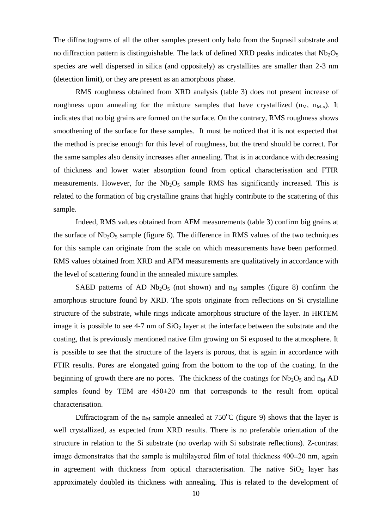The diffractograms of all the other samples present only halo from the Suprasil substrate and no diffraction pattern is distinguishable. The lack of defined XRD peaks indicates that  $Nb_2O_5$ species are well dispersed in silica (and oppositely) as crystallites are smaller than 2-3 nm (detection limit), or they are present as an amorphous phase.

RMS roughness obtained from XRD analysis (table 3) does not present increase of roughness upon annealing for the mixture samples that have crystallized  $(n_M, n_{M-x})$ . It indicates that no big grains are formed on the surface. On the contrary, RMS roughness shows smoothening of the surface for these samples. It must be noticed that it is not expected that the method is precise enough for this level of roughness, but the trend should be correct. For the same samples also density increases after annealing. That is in accordance with decreasing of thickness and lower water absorption found from optical characterisation and FTIR measurements. However, for the  $Nb_2O_5$  sample RMS has significantly increased. This is related to the formation of big crystalline grains that highly contribute to the scattering of this sample.

Indeed, RMS values obtained from AFM measurements (table 3) confirm big grains at the surface of  $Nb_2O_5$  sample (figure 6). The difference in RMS values of the two techniques for this sample can originate from the scale on which measurements have been performed. RMS values obtained from XRD and AFM measurements are qualitatively in accordance with the level of scattering found in the annealed mixture samples.

SAED patterns of AD Nb<sub>2</sub>O<sub>5</sub> (not shown) and  $n_M$  samples (figure 8) confirm the amorphous structure found by XRD. The spots originate from reflections on Si crystalline structure of the substrate, while rings indicate amorphous structure of the layer. In HRTEM image it is possible to see 4-7 nm of  $SiO<sub>2</sub>$  layer at the interface between the substrate and the coating, that is previously mentioned native film growing on Si exposed to the atmosphere. It is possible to see that the structure of the layers is porous, that is again in accordance with FTIR results. Pores are elongated going from the bottom to the top of the coating. In the beginning of growth there are no pores. The thickness of the coatings for  $Nb<sub>2</sub>O<sub>5</sub>$  and  $n<sub>M</sub>$  AD samples found by TEM are  $450\pm20$  nm that corresponds to the result from optical characterisation.

Diffractogram of the  $n_M$  sample annealed at 750<sup>o</sup>C (figure 9) shows that the layer is well crystallized, as expected from XRD results. There is no preferable orientation of the structure in relation to the Si substrate (no overlap with Si substrate reflections). Z-contrast image demonstrates that the sample is multilayered film of total thickness 400±20 nm, again in agreement with thickness from optical characterisation. The native  $SiO<sub>2</sub>$  layer has approximately doubled its thickness with annealing. This is related to the development of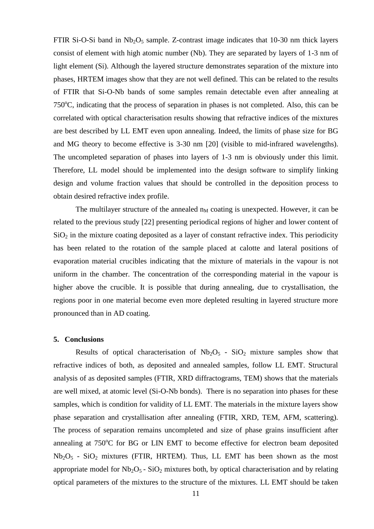FTIR Si-O-Si band in  $Nb_2O_5$  sample. Z-contrast image indicates that 10-30 nm thick layers consist of element with high atomic number (Nb). They are separated by layers of 1-3 nm of light element (Si). Although the layered structure demonstrates separation of the mixture into phases, HRTEM images show that they are not well defined. This can be related to the results of FTIR that Si-O-Nb bands of some samples remain detectable even after annealing at  $750^{\circ}$ C, indicating that the process of separation in phases is not completed. Also, this can be correlated with optical characterisation results showing that refractive indices of the mixtures are best described by LL EMT even upon annealing. Indeed, the limits of phase size for BG and MG theory to become effective is 3-30 nm [20] (visible to mid-infrared wavelengths). The uncompleted separation of phases into layers of 1-3 nm is obviously under this limit. Therefore, LL model should be implemented into the design software to simplify linking design and volume fraction values that should be controlled in the deposition process to obtain desired refractive index profile.

The multilayer structure of the annealed  $n_M$  coating is unexpected. However, it can be related to the previous study [22] presenting periodical regions of higher and lower content of  $SiO<sub>2</sub>$  in the mixture coating deposited as a layer of constant refractive index. This periodicity has been related to the rotation of the sample placed at calotte and lateral positions of evaporation material crucibles indicating that the mixture of materials in the vapour is not uniform in the chamber. The concentration of the corresponding material in the vapour is higher above the crucible. It is possible that during annealing, due to crystallisation, the regions poor in one material become even more depleted resulting in layered structure more pronounced than in AD coating.

### **5. Conclusions**

Results of optical characterisation of  $Nb<sub>2</sub>O<sub>5</sub>$  - SiO<sub>2</sub> mixture samples show that refractive indices of both, as deposited and annealed samples, follow LL EMT. Structural analysis of as deposited samples (FTIR, XRD diffractograms, TEM) shows that the materials are well mixed, at atomic level (Si-O-Nb bonds). There is no separation into phases for these samples, which is condition for validity of LL EMT. The materials in the mixture layers show phase separation and crystallisation after annealing (FTIR, XRD, TEM, AFM, scattering). The process of separation remains uncompleted and size of phase grains insufficient after annealing at  $750^{\circ}$ C for BG or LIN EMT to become effective for electron beam deposited  $Nb<sub>2</sub>O<sub>5</sub>$  - SiO<sub>2</sub> mixtures (FTIR, HRTEM). Thus, LL EMT has been shown as the most appropriate model for  $Nb<sub>2</sub>O<sub>5</sub> - SiO<sub>2</sub>$  mixtures both, by optical characterisation and by relating optical parameters of the mixtures to the structure of the mixtures. LL EMT should be taken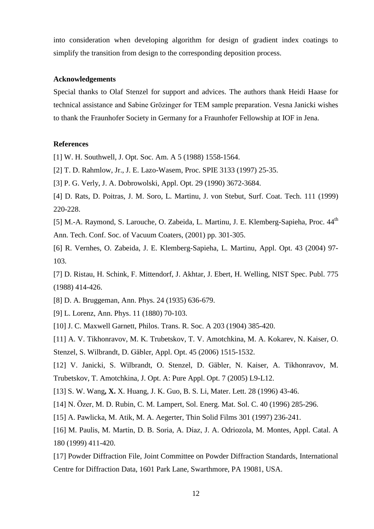into consideration when developing algorithm for design of gradient index coatings to simplify the transition from design to the corresponding deposition process.

# **Acknowledgements**

Special thanks to Olaf Stenzel for support and advices. The authors thank Heidi Haase for technical assistance and Sabine Grözinger for TEM sample preparation. Vesna Janicki wishes to thank the Fraunhofer Society in Germany for a Fraunhofer Fellowship at IOF in Jena.

### **References**

[1] W. H. Southwell, J. Opt. Soc. Am. A 5 (1988) 1558-1564.

[2] T. D. Rahmlow, Jr., J. E. Lazo-Wasem, Proc. SPIE 3133 (1997) 25-35.

[3] P. G. Verly, J. A. Dobrowolski, Appl. Opt. 29 (1990) 3672-3684.

[4] D. Rats, D. Poitras, J. M. Soro, L. Martinu, J. von Stebut, Surf. Coat. Tech. 111 (1999) 220-228.

[5] M.-A. Raymond, S. Larouche, O. Zabeida, L. Martinu, J. E. Klemberg-Sapieha, Proc. 44<sup>th</sup> Ann. Tech. Conf. Soc. of Vacuum Coaters, (2001) pp. 301-305.

[6] R. Vernhes, O. Zabeida, J. E. Klemberg-Sapieha, L. Martinu, Appl. Opt. 43 (2004) 97- 103.

[7] D. Ristau, H. Schink, F. Mittendorf, J. Akhtar, J. Ebert, H. Welling, NIST Spec. Publ. 775 (1988) 414-426.

[8] D. A. Bruggeman, Ann. Phys. 24 (1935) 636-679.

[9] L. Lorenz, Ann. Phys. 11 (1880) 70-103.

[10] J. C. Maxwell Garnett, Philos. Trans. R. Soc. A 203 (1904) 385-420.

[11] A. V. Tikhonravov, M. K. Trubetskov, T. V. Amotchkina, M. A. Kokarev, N. Kaiser, O. Stenzel, S. Wilbrandt, D. Gäbler, Appl. Opt. 45 (2006) 1515-1532.

[12] V. Janicki, S. Wilbrandt, O. Stenzel, D. Gäbler, N. Kaiser, A. Tikhonravov, M. Trubetskov, T. Amotchkina, J. Opt. A: Pure Appl. Opt. 7 (2005) L9-L12.

[13] S. W. Wang**, X.** X. Huang, J. K. Guo, B. S. Li, Mater. Lett. 28 (1996) 43-46.

[14] N. Özer, M. D. Rubin, C. M. Lampert, Sol. Energ. Mat. Sol. C. 40 (1996) 285-296.

[15] A. Pawlicka, M. Atik, M. A. Aegerter, Thin Solid Films 301 (1997) 236-241.

[16] M. Paulis, M. Martín, D. B. Soria, A. Díaz, J. A. Odriozola, M. Montes, Appl. Catal. A 180 (1999) 411-420.

[17] Powder Diffraction File, Joint Committee on Powder Diffraction Standards, International Centre for Diffraction Data, 1601 Park Lane, Swarthmore, PA 19081, USA.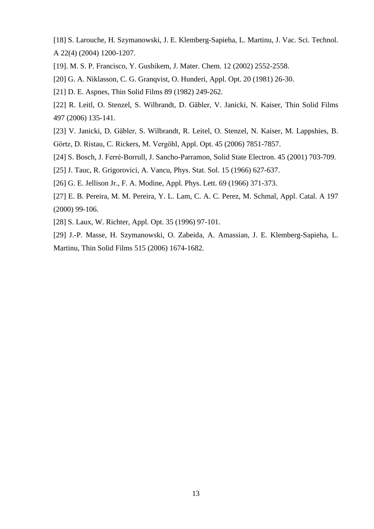[18] S. Larouche, H. Szymanowski, J. E. Klemberg-Sapieha, L. Martinu, J. Vac. Sci. Technol. A 22(4) (2004) 1200-1207.

[19]. M. S. P. Francisco, Y. Gushikem, J. Mater. Chem. 12 (2002) 2552-2558.

[20] G. A. Niklasson, C. G. Granqvist, O. Hunderi, Appl. Opt. 20 (1981) 26-30.

[21] D. E. Aspnes, Thin Solid Films 89 (1982) 249-262.

[22] R. Leitl, O. Stenzel, S. Wilbrandt, D. Gäbler, V. Janicki, N. Kaiser, Thin Solid Films 497 (2006) 135-141.

[23] V. Janicki, D. Gäbler, S. Wilbrandt, R. Leitel, O. Stenzel, N. Kaiser, M. Lappshies, B. Görtz, D. Ristau, C. Rickers, M. Vergöhl, Appl. Opt. 45 (2006) 7851-7857.

[24] S. Bosch, J. Ferré-Borrull, J. Sancho-Parramon, Solid State Electron. 45 (2001) 703-709.

[25] J. Tauc, R. Grigorovici, A. Vancu, Phys. Stat. Sol. 15 (1966) 627-637.

[26] G. E. Jellison Jr., F. A. Modine, Appl. Phys. Lett. 69 (1966) 371-373.

[27] E. B. Pereira, M. M. Pereira, Y. L. Lam, C. A. C. Perez, M. Schmal, Appl. Catal. A 197 (2000) 99-106.

[28] S. Laux, W. Richter, Appl. Opt. 35 (1996) 97-101.

[29] J.-P. Masse, H. Szymanowski, O. Zabeida, A. Amassian, J. E. Klemberg-Sapieha, L. Martinu, Thin Solid Films 515 (2006) 1674-1682.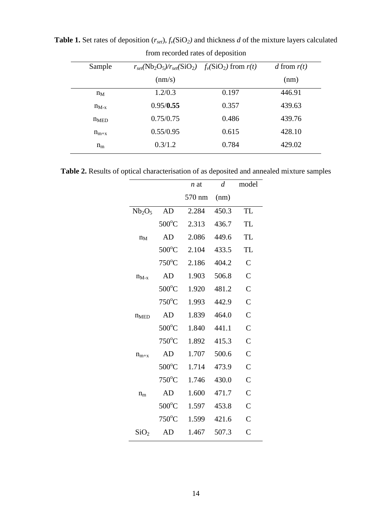|                 | . .   |                                                                                        |  |
|-----------------|-------|----------------------------------------------------------------------------------------|--|
|                 |       | d from $r(t)$                                                                          |  |
| $\text{(nm/s)}$ |       | (nm)                                                                                   |  |
| 1.2/0.3         | 0.197 | 446.91                                                                                 |  |
| 0.95/0.55       | 0.357 | 439.63                                                                                 |  |
| 0.75/0.75       | 0.486 | 439.76                                                                                 |  |
| 0.55/0.95       | 0.615 | 428.10                                                                                 |  |
| 0.3/1.2         | 0.784 | 429.02                                                                                 |  |
|                 |       | $r_{set}(\text{Nb}_2\text{O}_5)/r_{set}(\text{SiO}_2)$ $f_v(\text{SiO}_2)$ from $r(t)$ |  |

**Table 1.** Set rates of deposition  $(r_{set})$ ,  $f_v(SiO_2)$  and thickness *d* of the mixture layers calculated from recorded rates of deposition

**Table 2.** Results of optical characterisation of as deposited and annealed mixture samples

|                                |                 | n at   | $\overline{d}$ | model              |
|--------------------------------|-----------------|--------|----------------|--------------------|
|                                |                 | 570 nm | (nm)           |                    |
| Nb <sub>2</sub> O <sub>5</sub> | AD              | 2.284  | 450.3          | <b>TL</b>          |
|                                | $500^{\circ}$ C | 2.313  | 436.7          | TL                 |
| $n_M$                          | AD              | 2.086  | 449.6          | <b>TL</b>          |
|                                | $500^{\circ}$ C | 2.104  | 433.5          | <b>TL</b>          |
|                                | $750^{\circ}$ C | 2.186  | 404.2          | $\overline{C}$     |
| $n_{M-x}$                      | AD              | 1.903  | 506.8          | $\overline{C}$     |
|                                | $500^{\circ}$ C | 1.920  | 481.2          | $\overline{C}$     |
|                                | $750^{\circ}$ C | 1.993  | 442.9          | $\overline{C}$     |
| n <sub>MED</sub>               | AD              | 1.839  | 464.0          | $\overline{C}$     |
|                                | $500^{\circ}$ C | 1.840  | 441.1          | $\overline{C}$     |
|                                | $750^{\circ}$ C | 1.892  | 415.3          | $\overline{C}$     |
| $n_{m+x}$                      | AD              | 1.707  | 500.6          | $\overline{C}$     |
|                                | $500^{\circ}$ C | 1.714  | 473.9          | $\overline{C}$     |
|                                | $750^{\circ}$ C | 1.746  | 430.0          | $\overline{C}$     |
| $n_{\rm m}$                    | AD              | 1.600  | 471.7          | $\overline{C}$     |
|                                | $500^{\circ}$ C | 1.597  | 453.8          | $\overline{C}$     |
|                                | $750^{\circ}$ C | 1.599  | 421.6          | $\overline{C}$     |
| SiO <sub>2</sub>               | AD              | 1.467  | 507.3          | $\overline{\rm C}$ |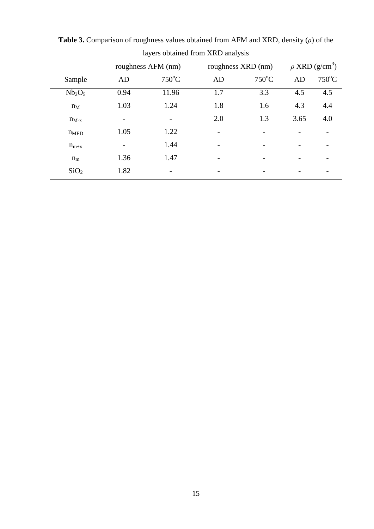|                                |                    | $\checkmark$    | $\tilde{\phantom{a}}$ |                 |                                 |       |
|--------------------------------|--------------------|-----------------|-----------------------|-----------------|---------------------------------|-------|
|                                | roughness AFM (nm) |                 | roughness XRD (nm)    |                 | $\rho$ XRD (g/cm <sup>3</sup> ) |       |
| Sample                         | AD                 | $750^{\circ}$ C | AD                    | $750^{\circ}$ C | AD                              | 750°C |
| Nb <sub>2</sub> O <sub>5</sub> | 0.94               | 11.96           | 1.7                   | 3.3             | 4.5                             | 4.5   |
| $n_M$                          | 1.03               | 1.24            | 1.8                   | 1.6             | 4.3                             | 4.4   |
| $n_{M-x}$                      |                    |                 | 2.0                   | 1.3             | 3.65                            | 4.0   |
| n <sub>MED</sub>               | 1.05               | 1.22            | -                     |                 |                                 |       |
| $n_{m+x}$                      |                    | 1.44            |                       |                 |                                 | -     |
| $n_{m}$                        | 1.36               | 1.47            |                       |                 |                                 |       |
| SiO <sub>2</sub>               | 1.82               |                 |                       |                 |                                 |       |
|                                |                    |                 |                       |                 |                                 |       |

**Table 3.** Comparison of roughness values obtained from AFM and XRD, density (*ρ*) of the layers obtained from XRD analysis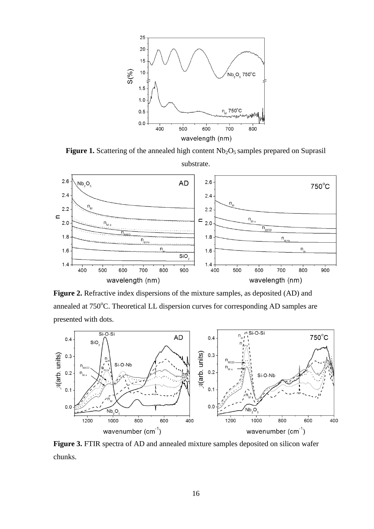

Figure 1. Scattering of the annealed high content Nb<sub>2</sub>O<sub>5</sub> samples prepared on Suprasil substrate.



**Figure 2.** Refractive index dispersions of the mixture samples, as deposited (AD) and annealed at 750°C. Theoretical LL dispersion curves for corresponding AD samples are presented with dots.



**Figure 3.** FTIR spectra of AD and annealed mixture samples deposited on silicon wafer chunks.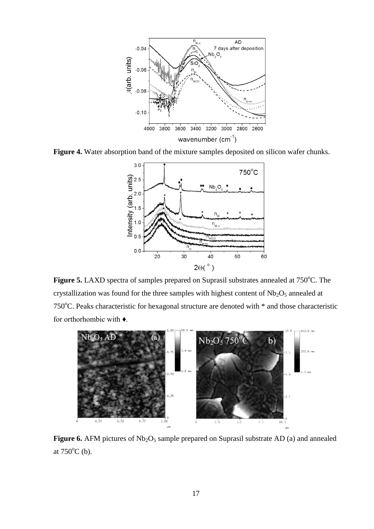

**Figure 4.** Water absorption band of the mixture samples deposited on silicon wafer chunks.



**Figure 5.** LAXD spectra of samples prepared on Suprasil substrates annealed at 750<sup>o</sup>C. The crystallization was found for the three samples with highest content of  $Nb<sub>2</sub>O<sub>5</sub>$  annealed at 750 $^{\circ}$ C. Peaks characteristic for hexagonal structure are denoted with  $*$  and those characteristic for orthorhombic with ♦.



**Figure 6.** AFM pictures of Nb<sub>2</sub>O<sub>5</sub> sample prepared on Suprasil substrate AD (a) and annealed at  $750^{\circ}$ C (b).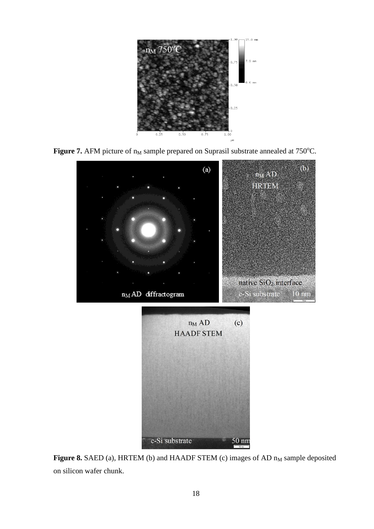





Figure 8. SAED (a), HRTEM (b) and HAADF STEM (c) images of AD  $n_M$  sample deposited on silicon wafer chunk.